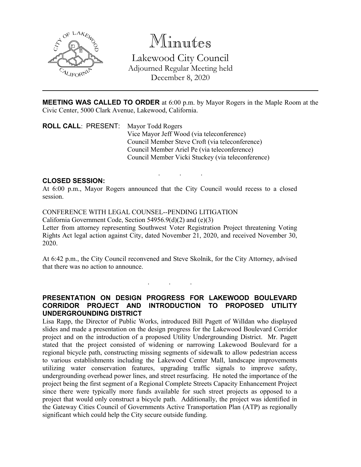

Minutes Lakewood City Council Adjourned Regular Meeting held December 8, 2020

**MEETING WAS CALLED TO ORDER** at 6:00 p.m. by Mayor Rogers in the Maple Room at the Civic Center, 5000 Clark Avenue, Lakewood, California.

. . .

**ROLL CALL**: PRESENT: Mayor Todd Rogers Vice Mayor Jeff Wood (via teleconference) Council Member Steve Croft (via teleconference) Council Member Ariel Pe (via teleconference) Council Member Vicki Stuckey (via teleconference)

## **CLOSED SESSION:**

At 6:00 p.m., Mayor Rogers announced that the City Council would recess to a closed session.

CONFERENCE WITH LEGAL COUNSEL--PENDING LITIGATION California Government Code, Section 54956.9(d)(2) and (e)(3) Letter from attorney representing Southwest Voter Registration Project threatening Voting Rights Act legal action against City, dated November 21, 2020, and received November 30, 2020.

At 6:42 p.m., the City Council reconvened and Steve Skolnik, for the City Attorney, advised that there was no action to announce.

. . .

**PRESENTATION ON DESIGN PROGRESS FOR LAKEWOOD BOULEVARD CORRIDOR PROJECT AND INTRODUCTION TO PROPOSED UTILITY UNDERGROUNDING DISTRICT**

Lisa Rapp, the Director of Public Works, introduced Bill Pagett of Willdan who displayed slides and made a presentation on the design progress for the Lakewood Boulevard Corridor project and on the introduction of a proposed Utility Undergrounding District. Mr. Pagett stated that the project consisted of widening or narrowing Lakewood Boulevard for a regional bicycle path, constructing missing segments of sidewalk to allow pedestrian access to various establishments including the Lakewood Center Mall, landscape improvements utilizing water conservation features, upgrading traffic signals to improve safety, undergrounding overhead power lines, and street resurfacing. He noted the importance of the project being the first segment of a Regional Complete Streets Capacity Enhancement Project since there were typically more funds available for such street projects as opposed to a project that would only construct a bicycle path. Additionally, the project was identified in the Gateway Cities Council of Governments Active Transportation Plan (ATP) as regionally significant which could help the City secure outside funding.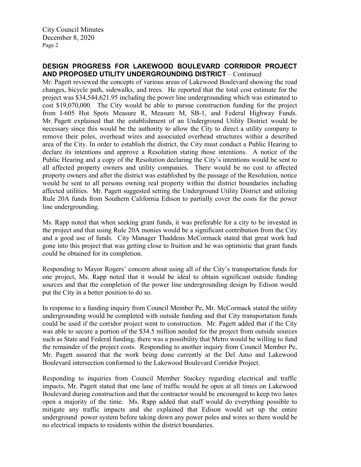## **DESIGN PROGRESS FOR LAKEWOOD BOULEVARD CORRIDOR PROJECT AND PROPOSED UTILITY UNDERGROUNDING DISTRICT** – Continued

Mr. Pagett reviewed the concepts of various areas of Lakewood Boulevard showing the road changes, bicycle path, sidewalks, and trees. He reported that the total cost estimate for the project was \$34,544,621.95 including the power line undergrounding which was estimated to cost \$19,070,000. The City would be able to pursue construction funding for the project from I-605 Hot Spots Measure R, Measure M, SB-1, and Federal Highway Funds. Mr. Pagett explained that the establishment of an Underground Utility District would be necessary since this would be the authority to allow the City to direct a utility company to remove their poles, overhead wires and associated overhead structures within a described area of the City. In order to establish the district, the City must conduct a Public Hearing to declare its intentions and approve a Resolution stating those intentions. A notice of the Public Hearing and a copy of the Resolution declaring the City's intentions would be sent to all affected property owners and utility companies. There would be no cost to affected property owners and after the district was established by the passage of the Resolution, notice would be sent to all persons owning real property within the district boundaries including affected utilities. Mr. Pagett suggested setting the Underground Utility District and utilizing Rule 20A funds from Southern California Edison to partially cover the costs for the power line undergrounding.

Ms. Rapp noted that when seeking grant funds, it was preferable for a city to be invested in the project and that using Rule 20A monies would be a significant contribution from the City and a good use of funds. City Manager Thaddeus McCormack stated that great work had gone into this project that was getting close to fruition and he was optimistic that grant funds could be obtained for its completion.

Responding to Mayor Rogers' concern about using all of the City's transportation funds for one project, Ms. Rapp noted that it would be ideal to obtain significant outside funding sources and that the completion of the power line undergrounding design by Edison would put the City in a better position to do so.

In response to a funding inquiry from Council Member Pe, Mr. McCormack stated the utility undergrounding would be completed with outside funding and that City transportation funds could be used if the corridor project went to construction. Mr. Pagett added that if the City was able to secure a portion of the \$34.5 million needed for the project from outside sources such as State and Federal funding, there was a possibility that Metro would be willing to fund the remainder of the project costs. Responding to another inquiry from Council Member Pe, Mr. Pagett assured that the work being done currently at the Del Amo and Lakewood Boulevard intersection conformed to the Lakewood Boulevard Corridor Project.

Responding to inquiries from Council Member Stuckey regarding electrical and traffic impacts, Mr. Pagett stated that one lane of traffic would be open at all times on Lakewood Boulevard during construction and that the contractor would be encouraged to keep two lanes open a majority of the time. Ms. Rapp added that staff would do everything possible to mitigate any traffic impacts and she explained that Edison would set up the entire underground power system before taking down any power poles and wires so there would be no electrical impacts to residents within the district boundaries.